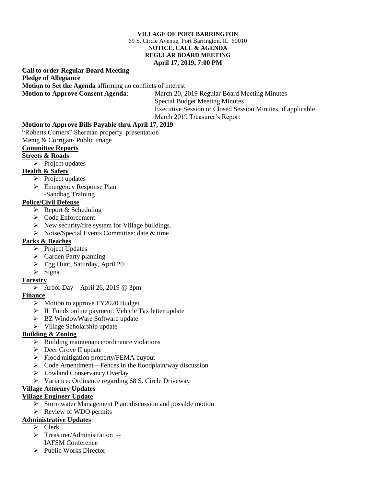#### **VILLAGE OF PORT BARRINGTON** 69 S. Circle Avenue, Port Barrington, IL 60010 **NOTICE, CALL & AGENDA REGULAR BOARD MEETING April 17, 2019, 7:00 PM**

# **Call to order Regular Board Meeting Pledge of Allegiance**

**Motion to Set the Agenda** affirming no conflicts of interest

**Motion to Approve Consent Agenda**: March 20, 2019 Regular Board Meeting Minutes Special Budget Meeting Minutes Executive Session or Closed Session Minutes, if applicable March 2019 Treasurer's Report

## **Motion to Approve Bills Payable thru April 17, 2019**

"Roberts Corners" Sherman property presentation

Menig & Corrigan- Public image

#### **Committee Reports**

#### **Streets & Roads**

 $\triangleright$  Project updates

#### **Health & Safety**

- $\triangleright$  Project updates
- Emergency Response Plan -Sandbag Training

## **Police/Civil Defense**

- $\triangleright$  Report & Scheduling
- Code Enforcement
- $\triangleright$  New security/fire system for Village buildings.
- $\triangleright$  Noise/Special Events Committee: date & time

## **Parks & Beaches**

- $\triangleright$  Project Updates
- $\triangleright$  Garden Party planning
- Egg Hunt, Saturday, April 20
- $\triangleright$  Signs

## **Forestry**

 $\triangleright$  Arbor Day – April 26, 2019 @ 3pm

## **Finance**

- $\triangleright$  Motion to approve FY2020 Budget
- $\triangleright$  IL Funds online payment: Vehicle Tax letter update
- > BZ WindowWare Software update
- $\triangleright$  Village Scholarship update

## **Building & Zoning**

- $\triangleright$  Building maintenance/ordinance violations
- $\triangleright$  Deer Grove II update
- $\triangleright$  Flood mitigation property/FEMA buyout
- $\triangleright$  Code Amendment—Fences in the floodplain/way discussion
- Lowland Conservancy Overlay
- Variance: Ordinance regarding 68 S. Circle Driveway

## **Village Attorney Updates**

## **Village Engineer Update**

- $\triangleright$  Stormwater Management Plan: discussion and possible motion
- $\triangleright$  Review of WDO permits

## **Administrative Updates**

- $\triangleright$  Clerk
- > Treasurer/Administration --
- IAFSM Conference
- $\triangleright$  Public Works Director